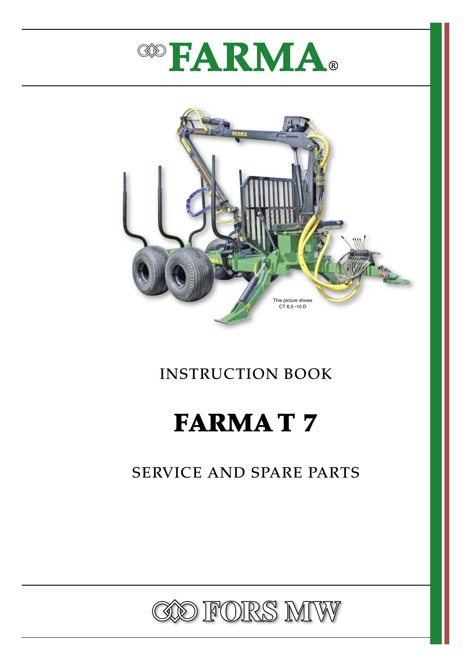



# INSTRUCTION BOOK

# FARMA T 7

# SERVICE AND SPARE PARTS

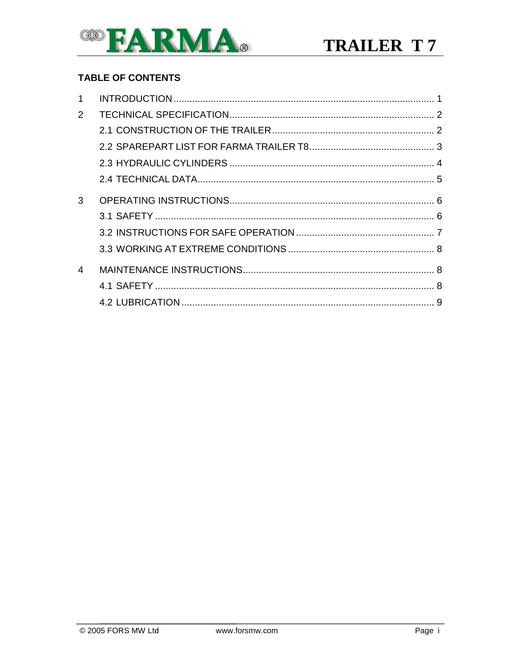

#### **TABLE OF CONTENTS**

| $\mathcal{P}$ |  |
|---------------|--|
|               |  |
|               |  |
|               |  |
|               |  |
| 3             |  |
|               |  |
|               |  |
|               |  |
| 4             |  |
|               |  |
|               |  |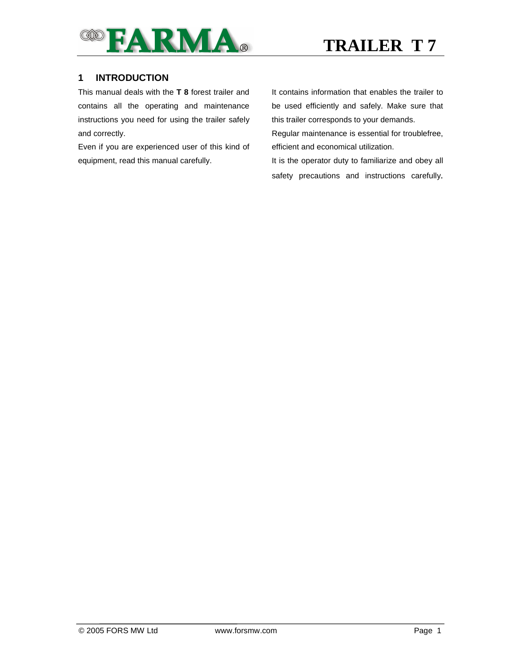

#### **1 INTRODUCTION**

This manual deals with the **T 8** forest trailer and contains all the operating and maintenance instructions you need for using the trailer safely and correctly.

Even if you are experienced user of this kind of equipment, read this manual carefully.

It contains information that enables the trailer to be used efficiently and safely. Make sure that this trailer corresponds to your demands.

Regular maintenance is essential for troublefree, efficient and economical utilization.

It is the operator duty to familiarize and obey all safety precautions and instructions carefully.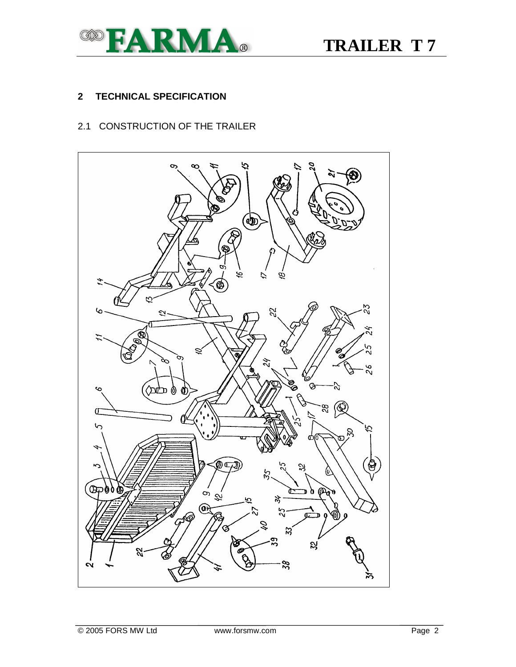

#### **2 TECHNICAL SPECIFICATION**

#### 2.1 CONSTRUCTION OF THE TRAILER

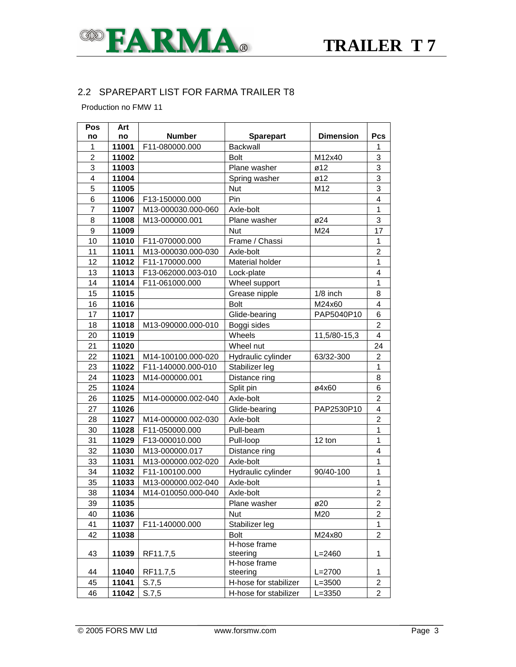

#### 2.2 SPAREPART LIST FOR FARMA TRAILER T8

Production no FMW 11

| Pos                     | Art                                     |                    |                        |                  |                         |
|-------------------------|-----------------------------------------|--------------------|------------------------|------------------|-------------------------|
| no                      | <b>Number</b><br><b>Sparepart</b><br>no |                    |                        | <b>Dimension</b> | <b>Pcs</b>              |
| 1                       | 11001                                   | F11-080000.000     | <b>Backwall</b>        |                  | 1                       |
| $\overline{2}$          | 11002                                   |                    | <b>Bolt</b>            | M12x40           | 3                       |
| 3                       | 11003                                   |                    | Plane washer           | $\varnothing$ 12 | 3                       |
| $\overline{\mathbf{4}}$ | 11004                                   |                    | Spring washer          | ø12              | 3                       |
| 5                       | 11005                                   |                    | <b>Nut</b>             | M12              | 3                       |
| 6                       | 11006                                   | F13-150000.000     | Pin                    |                  | $\overline{\mathbf{4}}$ |
| $\overline{7}$          | 11007                                   | M13-000030.000-060 | Axle-bolt              |                  | $\mathbf{1}$            |
| 8                       | 11008                                   | M13-000000.001     | Plane washer           | ø24              | 3                       |
| 9                       | 11009                                   |                    | <b>Nut</b>             | M24              | 17                      |
| 10                      | 11010                                   | F11-070000.000     | Frame / Chassi         |                  | 1                       |
| 11                      | 11011                                   | M13-000030.000-030 | Axle-bolt              |                  | $\overline{\mathbf{c}}$ |
| 12                      | 11012                                   | F11-170000.000     | <b>Material holder</b> |                  | $\mathbf 1$             |
| 13                      | 11013                                   | F13-062000.003-010 | Lock-plate             |                  | 4                       |
| 14                      | 11014                                   | F11-061000.000     | Wheel support          |                  | $\mathbf{1}$            |
| 15                      | 11015                                   |                    | Grease nipple          | $1/8$ inch       | 8                       |
| 16                      | 11016                                   |                    | <b>Bolt</b>            | M24x60           | 4                       |
| 17                      | 11017                                   |                    | Glide-bearing          | PAP5040P10       | 6                       |
| 18                      | 11018                                   | M13-090000.000-010 | Boggi sides            |                  | $\overline{2}$          |
| 20                      | 11019                                   |                    | Wheels                 | 11,5/80-15,3     | $\overline{4}$          |
| 21                      | 11020                                   |                    | Wheel nut              |                  | 24                      |
| 22                      | 11021                                   | M14-100100.000-020 | Hydraulic cylinder     | 63/32-300        | $\overline{c}$          |
| 23                      | 11022                                   | F11-140000.000-010 | Stabilizer leg         |                  | 1                       |
| 24                      | 11023                                   | M14-000000.001     | Distance ring          |                  | 8                       |
| 25                      | 11024                                   |                    | Split pin              | ø4x60            | 6                       |
| 26                      | 11025                                   | M14-000000.002-040 | Axle-bolt              |                  | $\overline{2}$          |
| 27                      | 11026                                   |                    | Glide-bearing          | PAP2530P10       | 4                       |
| 28                      | 11027                                   | M14-000000.002-030 | Axle-bolt              |                  | $\overline{c}$          |
| 30                      | 11028                                   | F11-050000.000     | Pull-beam              |                  | 1                       |
| 31                      | 11029                                   | F13-000010.000     | Pull-loop              | 12 ton           | 1                       |
| 32                      | 11030                                   | M13-000000.017     | Distance ring          |                  | 4                       |
| 33                      | 11031                                   | M13-000000.002-020 | Axle-bolt              |                  | $\overline{1}$          |
| 34                      | 11032                                   | F11-100100.000     | Hydraulic cylinder     | 90/40-100        | $\mathbf 1$             |
| 35                      | 11033                                   | M13-000000.002-040 | Axle-bolt              |                  | $\mathbf{1}$            |
| 38                      | 11034                                   | M14-010050.000-040 | Axle-bolt              |                  | $\overline{c}$          |
| 39                      | 11035                                   |                    | Plane washer           | ø20              | 2                       |
| 40                      | 11036                                   |                    | Nut                    | M20              | $\overline{\mathbf{c}}$ |
| 41                      | 11037                                   | F11-140000.000     | Stabilizer leg         |                  | 1                       |
| 42                      | 11038                                   |                    | <b>Bolt</b>            | M24x80           | 2                       |
|                         |                                         |                    | H-hose frame           |                  |                         |
| 43                      | 11039                                   | RF11.7.5           | steering               | $L = 2460$       | 1                       |
|                         |                                         |                    | H-hose frame           |                  |                         |
| 44                      | 11040                                   | RF11.7,5           | steering               | $L = 2700$       | 1                       |
| 45                      | 11041                                   | S.7,5              | H-hose for stabilizer  | $L = 3500$       | $\overline{c}$          |
| 46                      | 11042                                   | S.7,5              | H-hose for stabilizer  | $L = 3350$       | 2                       |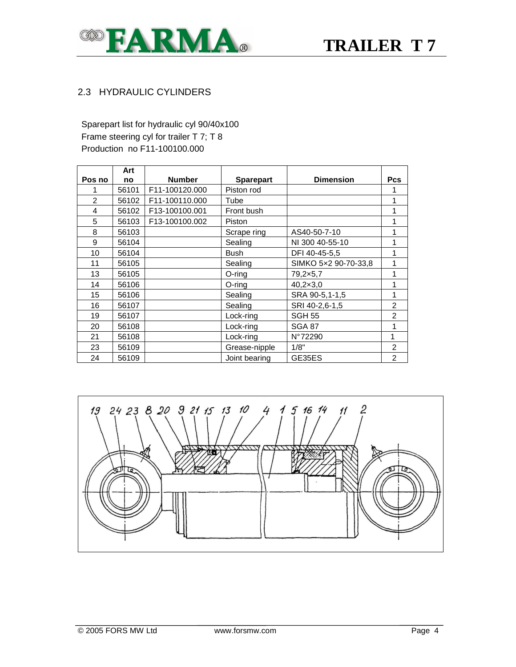

#### 2.3 HYDRAULIC CYLINDERS

Sparepart list for hydraulic cyl 90/40x100 Frame steering cyl for trailer T 7; T 8 Production no F11-100100.000

|                | Art   |                |                  |                      |            |
|----------------|-------|----------------|------------------|----------------------|------------|
| Pos no         | no    | <b>Number</b>  | <b>Sparepart</b> | <b>Dimension</b>     | <b>Pcs</b> |
|                | 56101 | F11-100120.000 | Piston rod       |                      |            |
| $\mathfrak{p}$ | 56102 | F11-100110.000 | Tube             |                      |            |
| 4              | 56102 | F13-100100.001 | Front bush       |                      |            |
| 5              | 56103 | F13-100100.002 | Piston           |                      |            |
| 8              | 56103 |                | Scrape ring      | AS40-50-7-10         |            |
| 9              | 56104 |                | Sealing          | NI 300 40-55-10      |            |
| 10             | 56104 |                | Bush             | DFI 40-45-5,5        |            |
| 11             | 56105 |                | Sealing          | SIMKO 5x2 90-70-33,8 |            |
| 13             | 56105 |                | O-ring           | 79,2×5,7             |            |
| 14             | 56106 |                | O-ring           | $40,2 \times 3,0$    |            |
| 15             | 56106 |                | Sealing          | SRA 90-5,1-1,5       |            |
| 16             | 56107 |                | Sealing          | SRI 40-2,6-1,5       | 2          |
| 19             | 56107 |                | Lock-ring        | <b>SGH 55</b>        | 2          |
| 20             | 56108 |                | Lock-ring        | <b>SGA 87</b>        |            |
| 21             | 56108 |                | Lock-ring        | N°72290              | 1          |
| 23             | 56109 |                | Grease-nipple    | 1/8"                 | 2          |
| 24             | 56109 |                | Joint bearing    | GE35ES               | 2          |

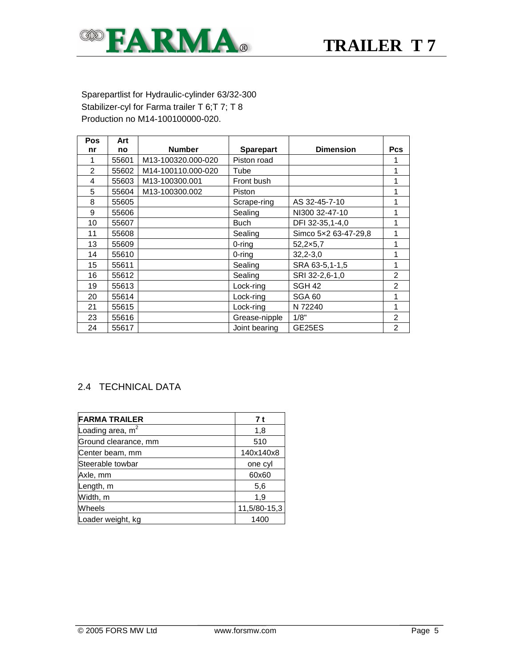

#### Sparepartlist for Hydraulic-cylinder 63/32-300 Stabilizer-cyl for Farma trailer T 6; T 7; T 8 Production no M14-100100000-020.

| <b>Pos</b>     | Art   |                    |                  |                      |                |
|----------------|-------|--------------------|------------------|----------------------|----------------|
| nr             | no    | <b>Number</b>      | <b>Sparepart</b> | <b>Dimension</b>     | <b>Pcs</b>     |
| 1              | 55601 | M13-100320.000-020 | Piston road      |                      |                |
| $\overline{2}$ | 55602 | M14-100110.000-020 | Tube             |                      | 1              |
| 4              | 55603 | M13-100300.001     | Front bush       |                      | 1              |
| 5              | 55604 | M13-100300.002     | Piston           |                      | 1              |
| 8              | 55605 |                    | Scrape-ring      | AS 32-45-7-10        | 1              |
| 9              | 55606 |                    | Sealing          | NI300 32-47-10       | 1              |
| 10             | 55607 |                    | <b>Buch</b>      | DFI 32-35,1-4,0      | 1              |
| 11             | 55608 |                    | Sealing          | Simco 5x2 63-47-29,8 | 1              |
| 13             | 55609 |                    | 0-ring           | 52,2×5,7             | 1              |
| 14             | 55610 |                    | 0-rina           | $32,2-3,0$           | 1              |
| 15             | 55611 |                    | Sealing          | SRA 63-5,1-1,5       | 1              |
| 16             | 55612 |                    | Sealing          | SRI 32-2,6-1,0       | $\overline{c}$ |
| 19             | 55613 |                    | Lock-ring        | SGH <sub>42</sub>    | $\overline{2}$ |
| 20             | 55614 |                    | Lock-ring        | SGA 60               | 1              |
| 21             | 55615 |                    | Lock-ring        | N 72240              | 1              |
| 23             | 55616 |                    | Grease-nipple    | 1/8"                 | $\overline{2}$ |
| 24             | 55617 |                    | Joint bearing    | GE25ES               | $\overline{2}$ |

#### 2.4 TECHNICAL DATA

| <b>FARMA TRAILER</b> | 7 t          |
|----------------------|--------------|
| Loading area, $m2$   | 1,8          |
| Ground clearance, mm | 510          |
| Center beam, mm      | 140x140x8    |
| Steerable towbar     | one cyl      |
| Axle, mm             | 60x60        |
| Length, m            | 5,6          |
| Width, m             | 1,9          |
| Wheels               | 11,5/80-15,3 |
| Loader weight, kg    | 1400         |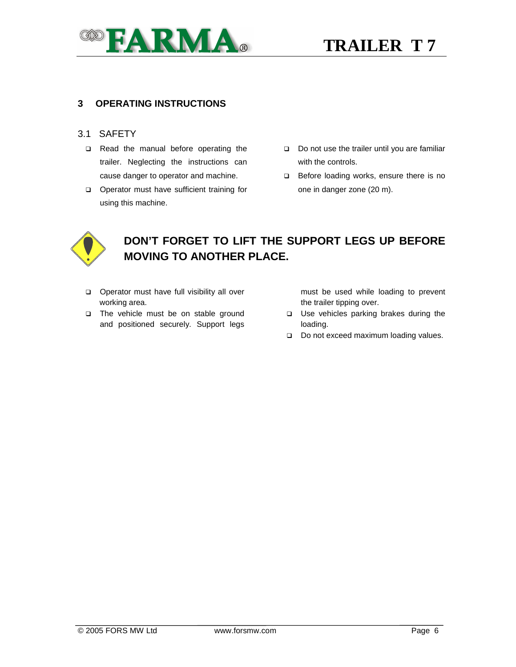

#### **3 OPERATING INSTRUCTIONS**

#### 3.1 SAFETY

- Read the manual before operating the trailer. Neglecting the instructions can cause danger to operator and machine.
- **Q** Operator must have sufficient training for using this machine.
- Do not use the trailer until you are familiar with the controls.
- Before loading works, ensure there is no one in danger zone (20 m).



## **DON'T FORGET TO LIFT THE SUPPORT LEGS UP BEFORE MOVING TO ANOTHER PLACE.**

- **D** Operator must have full visibility all over working area.
- □ The vehicle must be on stable ground and positioned securely. Support legs

must be used while loading to prevent the trailer tipping over.

- Use vehicles parking brakes during the loading.
- Do not exceed maximum loading values.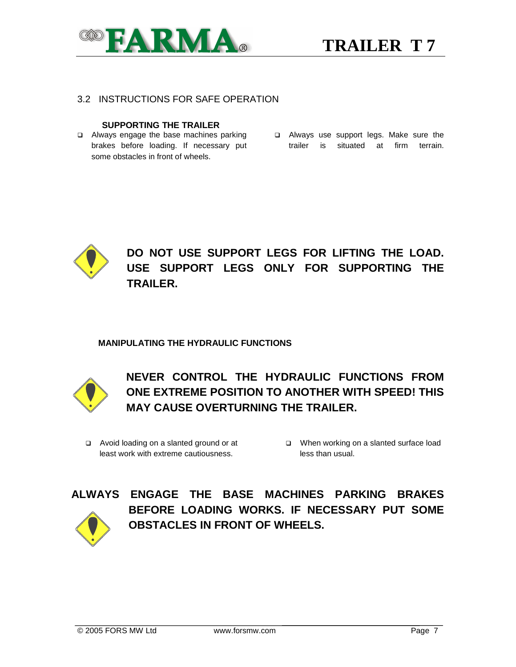

#### 3.2 INSTRUCTIONS FOR SAFE OPERATION

#### **SUPPORTING THE TRAILER**

- Always engage the base machines parking brakes before loading. If necessary put some obstacles in front of wheels.
- Always use support legs. Make sure the trailer is situated at firm terrain.



### **DO NOT USE SUPPORT LEGS FOR LIFTING THE LOAD. USE SUPPORT LEGS ONLY FOR SUPPORTING THE TRAILER.**

#### **MANIPULATING THE HYDRAULIC FUNCTIONS**



**NEVER CONTROL THE HYDRAULIC FUNCTIONS FROM ONE EXTREME POSITION TO ANOTHER WITH SPEED! THIS MAY CAUSE OVERTURNING THE TRAILER.** 

- Avoid loading on a slanted ground or at least work with extreme cautiousness.
- When working on a slanted surface load less than usual.



**ALWAYS ENGAGE THE BASE MACHINES PARKING BRAKES BEFORE LOADING WORKS. IF NECESSARY PUT SOME OBSTACLES IN FRONT OF WHEELS.**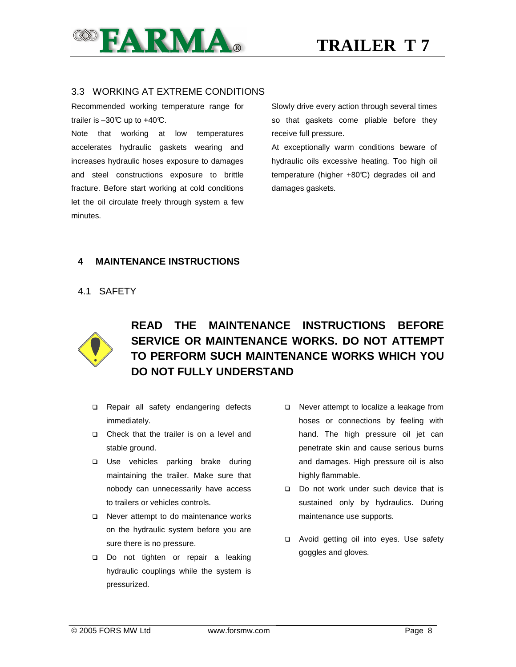

#### 3.3 WORKING AT EXTREME CONDITIONS

Recommended working temperature range for trailer is  $-30^{\circ}$  up to  $+40^{\circ}$ .

Note that working at low temperatures accelerates hydraulic gaskets wearing and increases hydraulic hoses exposure to damages and steel constructions exposure to brittle fracture. Before start working at cold conditions let the oil circulate freely through system a few minutes.

Slowly drive every action through several times so that gaskets come pliable before they receive full pressure.

At exceptionally warm conditions beware of hydraulic oils excessive heating. Too high oil temperature (higher +80°C) degrades oil and damages gaskets.

#### **4 MAINTENANCE INSTRUCTIONS**

#### 4.1 SAFETY



## **READ THE MAINTENANCE INSTRUCTIONS BEFORE SERVICE OR MAINTENANCE WORKS. DO NOT ATTEMPT TO PERFORM SUCH MAINTENANCE WORKS WHICH YOU DO NOT FULLY UNDERSTAND**

- **Q** Repair all safety endangering defects immediately.
- □ Check that the trailer is on a level and stable ground.
- Use vehicles parking brake during maintaining the trailer. Make sure that nobody can unnecessarily have access to trailers or vehicles controls.
- □ Never attempt to do maintenance works on the hydraulic system before you are sure there is no pressure.
- Do not tighten or repair a leaking hydraulic couplings while the system is pressurized.
- Never attempt to localize a leakage from hoses or connections by feeling with hand. The high pressure oil jet can penetrate skin and cause serious burns and damages. High pressure oil is also highly flammable.
- Do not work under such device that is sustained only by hydraulics. During maintenance use supports.
- Avoid getting oil into eyes. Use safety goggles and gloves.